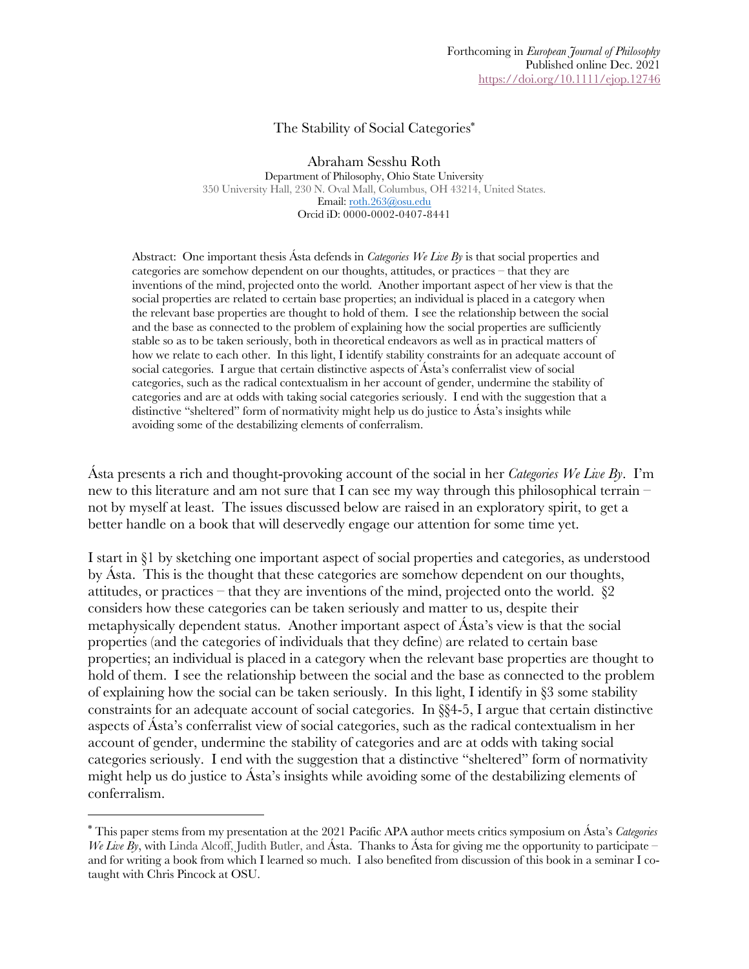#### The Stability of Social Categories\*

Abraham Sesshu Roth Department of Philosophy, Ohio State University 350 University Hall, 230 N. Oval Mall, Columbus, OH 43214, United States. Email: roth.263@osu.edu Orcid iD: 0000-0002-0407-8441

Abstract: One important thesis Ásta defends in *Categories We Live By* is that social properties and categories are somehow dependent on our thoughts, attitudes, or practices – that they are inventions of the mind, projected onto the world. Another important aspect of her view is that the social properties are related to certain base properties; an individual is placed in a category when the relevant base properties are thought to hold of them. I see the relationship between the social and the base as connected to the problem of explaining how the social properties are sufficiently stable so as to be taken seriously, both in theoretical endeavors as well as in practical matters of how we relate to each other. In this light, I identify stability constraints for an adequate account of social categories. I argue that certain distinctive aspects of Ásta's conferralist view of social categories, such as the radical contextualism in her account of gender, undermine the stability of categories and are at odds with taking social categories seriously. I end with the suggestion that a distinctive "sheltered" form of normativity might help us do justice to Ásta's insights while avoiding some of the destabilizing elements of conferralism.

Ásta presents a rich and thought-provoking account of the social in her *Categories We Live By*. I'm new to this literature and am not sure that I can see my way through this philosophical terrain – not by myself at least. The issues discussed below are raised in an exploratory spirit, to get a better handle on a book that will deservedly engage our attention for some time yet.

I start in §1 by sketching one important aspect of social properties and categories, as understood by Ásta. This is the thought that these categories are somehow dependent on our thoughts, attitudes, or practices – that they are inventions of the mind, projected onto the world.  $\S2$ considers how these categories can be taken seriously and matter to us, despite their metaphysically dependent status. Another important aspect of Ásta's view is that the social properties (and the categories of individuals that they define) are related to certain base properties; an individual is placed in a category when the relevant base properties are thought to hold of them. I see the relationship between the social and the base as connected to the problem of explaining how the social can be taken seriously. In this light, I identify in §3 some stability constraints for an adequate account of social categories. In §§4-5, I argue that certain distinctive aspects of Ásta's conferralist view of social categories, such as the radical contextualism in her account of gender, undermine the stability of categories and are at odds with taking social categories seriously. I end with the suggestion that a distinctive "sheltered" form of normativity might help us do justice to Ásta's insights while avoiding some of the destabilizing elements of conferralism.

<sup>\*</sup> This paper stems from my presentation at the 2021 Pacific APA author meets critics symposium on Ásta's *Categories We Live By*, with Linda Alcoff, Judith Butler, and Ásta. Thanks to Ásta for giving me the opportunity to participate – and for writing a book from which I learned so much. I also benefited from discussion of this book in a seminar I cotaught with Chris Pincock at OSU.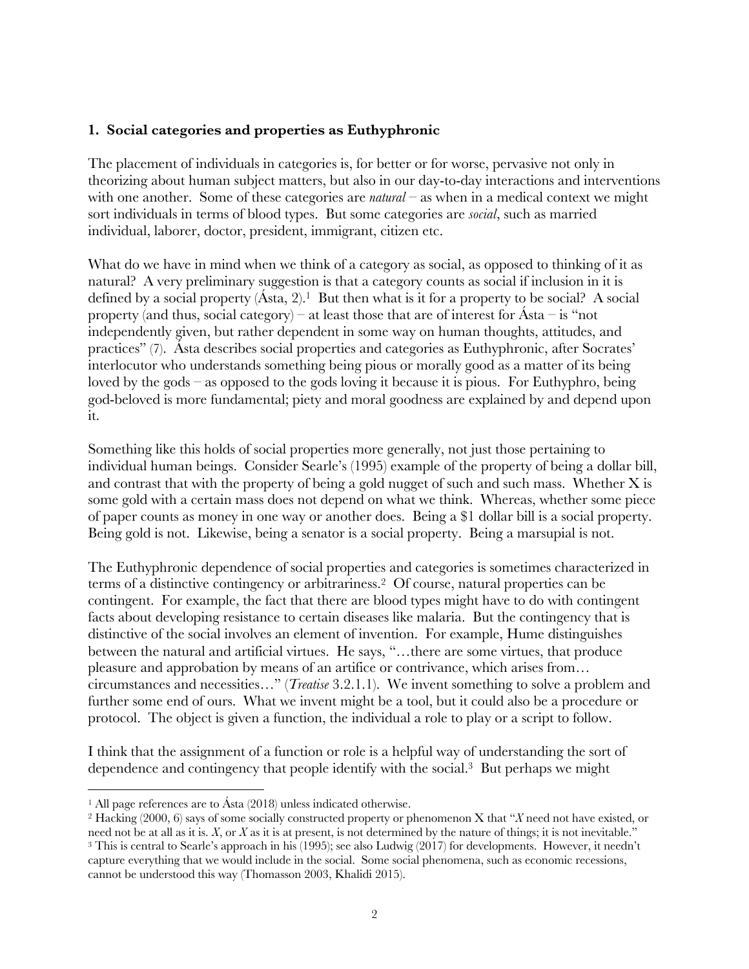# **1. Social categories and properties as Euthyphronic**

The placement of individuals in categories is, for better or for worse, pervasive not only in theorizing about human subject matters, but also in our day-to-day interactions and interventions with one another. Some of these categories are *natural* – as when in a medical context we might sort individuals in terms of blood types. But some categories are *social*, such as married individual, laborer, doctor, president, immigrant, citizen etc.

What do we have in mind when we think of a category as social, as opposed to thinking of it as natural? A very preliminary suggestion is that a category counts as social if inclusion in it is defined by a social property  $(Asta, 2)$ .<sup>1</sup> But then what is it for a property to be social? A social property (and thus, social category) – at least those that are of interest for  $\hat{A}$ sta – is "not independently given, but rather dependent in some way on human thoughts, attitudes, and practices" (7). Ásta describes social properties and categories as Euthyphronic, after Socrates' interlocutor who understands something being pious or morally good as a matter of its being loved by the gods – as opposed to the gods loving it because it is pious. For Euthyphro, being god-beloved is more fundamental; piety and moral goodness are explained by and depend upon it.

Something like this holds of social properties more generally, not just those pertaining to individual human beings. Consider Searle's (1995) example of the property of being a dollar bill, and contrast that with the property of being a gold nugget of such and such mass. Whether X is some gold with a certain mass does not depend on what we think. Whereas, whether some piece of paper counts as money in one way or another does. Being a \$1 dollar bill is a social property. Being gold is not. Likewise, being a senator is a social property. Being a marsupial is not.

The Euthyphronic dependence of social properties and categories is sometimes characterized in terms of a distinctive contingency or arbitrariness.2 Of course, natural properties can be contingent. For example, the fact that there are blood types might have to do with contingent facts about developing resistance to certain diseases like malaria. But the contingency that is distinctive of the social involves an element of invention. For example, Hume distinguishes between the natural and artificial virtues. He says, "…there are some virtues, that produce pleasure and approbation by means of an artifice or contrivance, which arises from… circumstances and necessities…" (*Treatise* 3.2.1.1). We invent something to solve a problem and further some end of ours. What we invent might be a tool, but it could also be a procedure or protocol. The object is given a function, the individual a role to play or a script to follow.

I think that the assignment of a function or role is a helpful way of understanding the sort of dependence and contingency that people identify with the social.3 But perhaps we might

<sup>&</sup>lt;sup>1</sup> All page references are to Ásta  $(2018)$  unless indicated otherwise.

<sup>2</sup> Hacking (2000, 6) says of some socially constructed property or phenomenon X that "*X* need not have existed, or need not be at all as it is. *X*, or *X* as it is at present, is not determined by the nature of things; it is not inevitable." <sup>3</sup> This is central to Searle's approach in his (1995); see also Ludwig (2017) for developments. However, it needn't capture everything that we would include in the social. Some social phenomena, such as economic recessions, cannot be understood this way (Thomasson 2003, Khalidi 2015).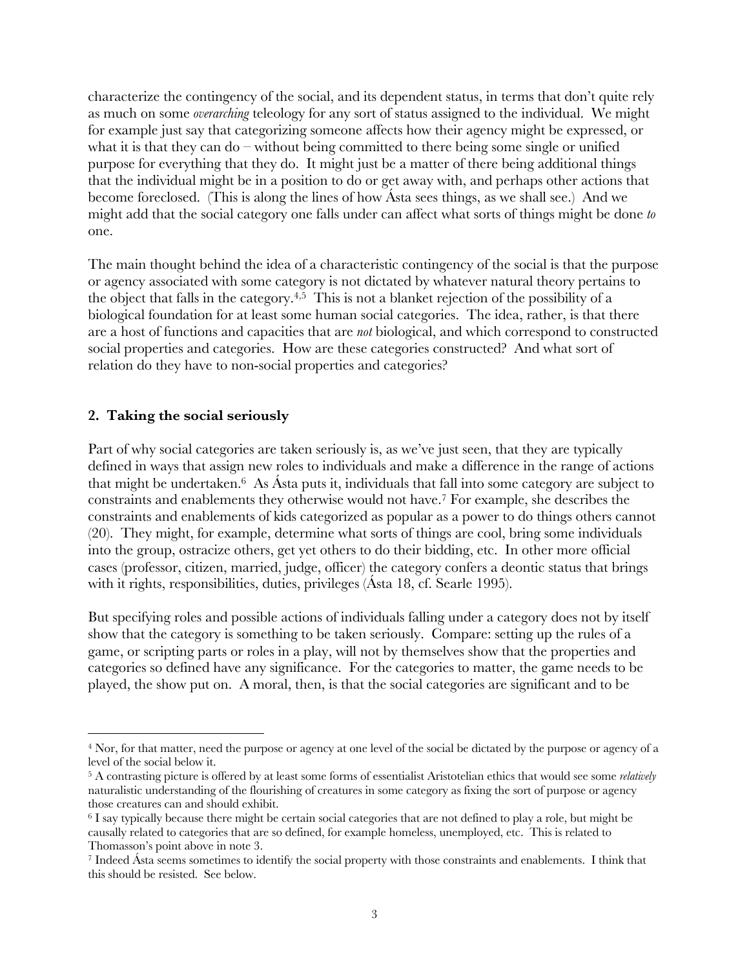characterize the contingency of the social, and its dependent status, in terms that don't quite rely as much on some *overarching* teleology for any sort of status assigned to the individual. We might for example just say that categorizing someone affects how their agency might be expressed, or what it is that they can do – without being committed to there being some single or unified purpose for everything that they do. It might just be a matter of there being additional things that the individual might be in a position to do or get away with, and perhaps other actions that become foreclosed. (This is along the lines of how Ásta sees things, as we shall see.) And we might add that the social category one falls under can affect what sorts of things might be done *to* one.

The main thought behind the idea of a characteristic contingency of the social is that the purpose or agency associated with some category is not dictated by whatever natural theory pertains to the object that falls in the category.<sup>4,5</sup> This is not a blanket rejection of the possibility of a biological foundation for at least some human social categories. The idea, rather, is that there are a host of functions and capacities that are *not* biological, and which correspond to constructed social properties and categories. How are these categories constructed? And what sort of relation do they have to non-social properties and categories?

#### **2. Taking the social seriously**

Part of why social categories are taken seriously is, as we've just seen, that they are typically defined in ways that assign new roles to individuals and make a difference in the range of actions that might be undertaken.6 As Ásta puts it, individuals that fall into some category are subject to constraints and enablements they otherwise would not have.7 For example, she describes the constraints and enablements of kids categorized as popular as a power to do things others cannot (20). They might, for example, determine what sorts of things are cool, bring some individuals into the group, ostracize others, get yet others to do their bidding, etc. In other more official cases (professor, citizen, married, judge, officer) the category confers a deontic status that brings with it rights, responsibilities, duties, privileges (Ásta 18, cf. Searle 1995).

But specifying roles and possible actions of individuals falling under a category does not by itself show that the category is something to be taken seriously. Compare: setting up the rules of a game, or scripting parts or roles in a play, will not by themselves show that the properties and categories so defined have any significance. For the categories to matter, the game needs to be played, the show put on. A moral, then, is that the social categories are significant and to be

<sup>4</sup> Nor, for that matter, need the purpose or agency at one level of the social be dictated by the purpose or agency of a level of the social below it.

<sup>5</sup> A contrasting picture is offered by at least some forms of essentialist Aristotelian ethics that would see some *relatively* naturalistic understanding of the flourishing of creatures in some category as fixing the sort of purpose or agency those creatures can and should exhibit.

<sup>6</sup> I say typically because there might be certain social categories that are not defined to play a role, but might be causally related to categories that are so defined, for example homeless, unemployed, etc. This is related to Thomasson's point above in note 3.

<sup>7</sup> Indeed Ásta seems sometimes to identify the social property with those constraints and enablements. I think that this should be resisted. See below.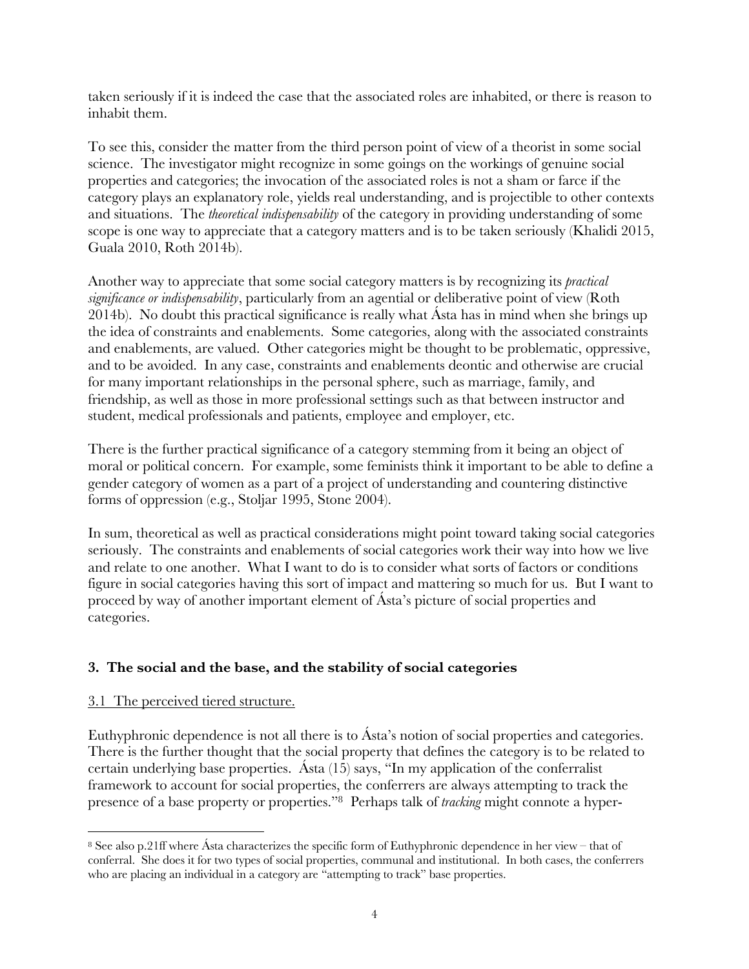taken seriously if it is indeed the case that the associated roles are inhabited, or there is reason to inhabit them.

To see this, consider the matter from the third person point of view of a theorist in some social science. The investigator might recognize in some goings on the workings of genuine social properties and categories; the invocation of the associated roles is not a sham or farce if the category plays an explanatory role, yields real understanding, and is projectible to other contexts and situations. The *theoretical indispensability* of the category in providing understanding of some scope is one way to appreciate that a category matters and is to be taken seriously (Khalidi 2015, Guala 2010, Roth 2014b).

Another way to appreciate that some social category matters is by recognizing its *practical significance or indispensability*, particularly from an agential or deliberative point of view (Roth 2014b). No doubt this practical significance is really what Ásta has in mind when she brings up the idea of constraints and enablements. Some categories, along with the associated constraints and enablements, are valued. Other categories might be thought to be problematic, oppressive, and to be avoided. In any case, constraints and enablements deontic and otherwise are crucial for many important relationships in the personal sphere, such as marriage, family, and friendship, as well as those in more professional settings such as that between instructor and student, medical professionals and patients, employee and employer, etc.

There is the further practical significance of a category stemming from it being an object of moral or political concern. For example, some feminists think it important to be able to define a gender category of women as a part of a project of understanding and countering distinctive forms of oppression (e.g., Stoljar 1995, Stone 2004).

In sum, theoretical as well as practical considerations might point toward taking social categories seriously. The constraints and enablements of social categories work their way into how we live and relate to one another. What I want to do is to consider what sorts of factors or conditions figure in social categories having this sort of impact and mattering so much for us. But I want to proceed by way of another important element of Ásta's picture of social properties and categories.

# **3. The social and the base, and the stability of social categories**

# 3.1 The perceived tiered structure.

Euthyphronic dependence is not all there is to Asta's notion of social properties and categories. There is the further thought that the social property that defines the category is to be related to certain underlying base properties. Ásta (15) says, "In my application of the conferralist framework to account for social properties, the conferrers are always attempting to track the presence of a base property or properties."8 Perhaps talk of *tracking* might connote a hyper-

<sup>8</sup> See also p.21ff where Ásta characterizes the specific form of Euthyphronic dependence in her view – that of conferral. She does it for two types of social properties, communal and institutional. In both cases, the conferrers who are placing an individual in a category are "attempting to track" base properties.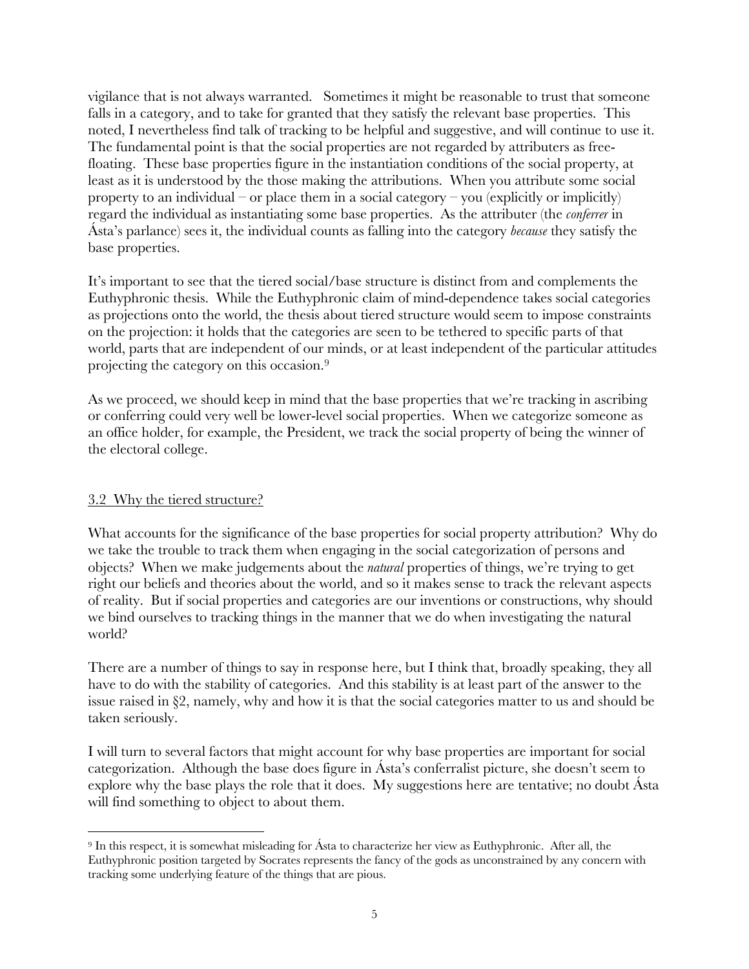vigilance that is not always warranted. Sometimes it might be reasonable to trust that someone falls in a category, and to take for granted that they satisfy the relevant base properties. This noted, I nevertheless find talk of tracking to be helpful and suggestive, and will continue to use it. The fundamental point is that the social properties are not regarded by attributers as freefloating. These base properties figure in the instantiation conditions of the social property, at least as it is understood by the those making the attributions. When you attribute some social property to an individual – or place them in a social category – you (explicitly or implicitly) regard the individual as instantiating some base properties. As the attributer (the *conferrer* in Ásta's parlance) sees it, the individual counts as falling into the category *because* they satisfy the base properties.

It's important to see that the tiered social/base structure is distinct from and complements the Euthyphronic thesis. While the Euthyphronic claim of mind-dependence takes social categories as projections onto the world, the thesis about tiered structure would seem to impose constraints on the projection: it holds that the categories are seen to be tethered to specific parts of that world, parts that are independent of our minds, or at least independent of the particular attitudes projecting the category on this occasion.9

As we proceed, we should keep in mind that the base properties that we're tracking in ascribing or conferring could very well be lower-level social properties. When we categorize someone as an office holder, for example, the President, we track the social property of being the winner of the electoral college.

# 3.2 Why the tiered structure?

What accounts for the significance of the base properties for social property attribution? Why do we take the trouble to track them when engaging in the social categorization of persons and objects? When we make judgements about the *natural* properties of things, we're trying to get right our beliefs and theories about the world, and so it makes sense to track the relevant aspects of reality. But if social properties and categories are our inventions or constructions, why should we bind ourselves to tracking things in the manner that we do when investigating the natural world?

There are a number of things to say in response here, but I think that, broadly speaking, they all have to do with the stability of categories. And this stability is at least part of the answer to the issue raised in §2, namely, why and how it is that the social categories matter to us and should be taken seriously.

I will turn to several factors that might account for why base properties are important for social categorization. Although the base does figure in Ásta's conferralist picture, she doesn't seem to explore why the base plays the role that it does. My suggestions here are tentative; no doubt Ásta will find something to object to about them.

<sup>9</sup> In this respect, it is somewhat misleading for Ásta to characterize her view as Euthyphronic. After all, the Euthyphronic position targeted by Socrates represents the fancy of the gods as unconstrained by any concern with tracking some underlying feature of the things that are pious.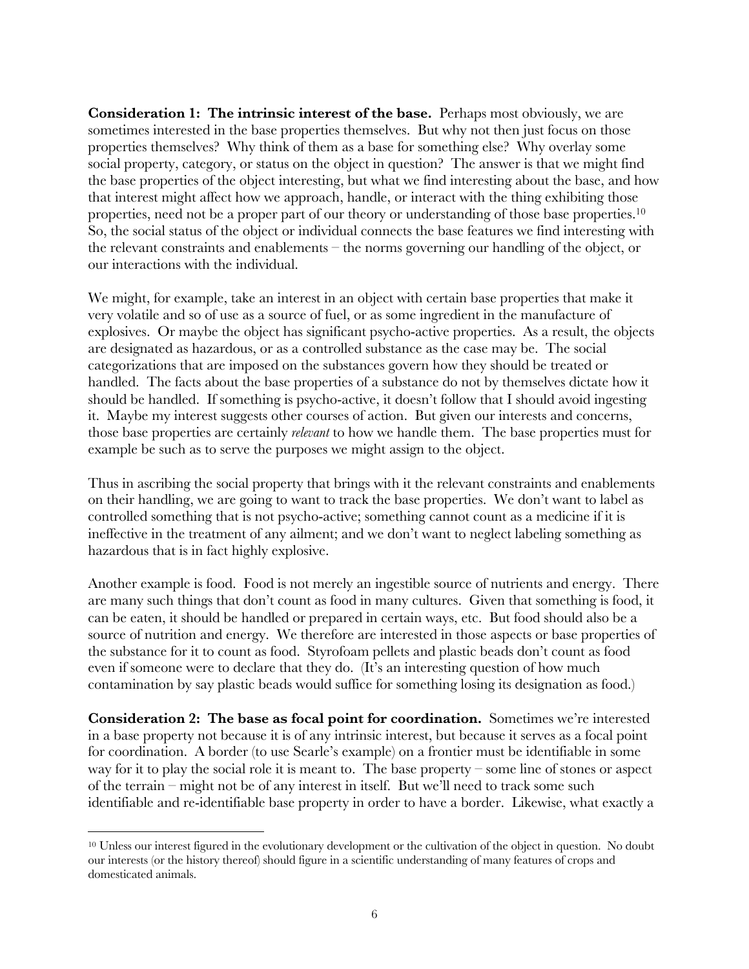**Consideration 1: The intrinsic interest of the base.** Perhaps most obviously, we are sometimes interested in the base properties themselves. But why not then just focus on those properties themselves? Why think of them as a base for something else? Why overlay some social property, category, or status on the object in question? The answer is that we might find the base properties of the object interesting, but what we find interesting about the base, and how that interest might affect how we approach, handle, or interact with the thing exhibiting those properties, need not be a proper part of our theory or understanding of those base properties.<sup>10</sup> So, the social status of the object or individual connects the base features we find interesting with the relevant constraints and enablements – the norms governing our handling of the object, or our interactions with the individual.

We might, for example, take an interest in an object with certain base properties that make it very volatile and so of use as a source of fuel, or as some ingredient in the manufacture of explosives. Or maybe the object has significant psycho-active properties. As a result, the objects are designated as hazardous, or as a controlled substance as the case may be. The social categorizations that are imposed on the substances govern how they should be treated or handled. The facts about the base properties of a substance do not by themselves dictate how it should be handled. If something is psycho-active, it doesn't follow that I should avoid ingesting it. Maybe my interest suggests other courses of action. But given our interests and concerns, those base properties are certainly *relevant* to how we handle them. The base properties must for example be such as to serve the purposes we might assign to the object.

Thus in ascribing the social property that brings with it the relevant constraints and enablements on their handling, we are going to want to track the base properties. We don't want to label as controlled something that is not psycho-active; something cannot count as a medicine if it is ineffective in the treatment of any ailment; and we don't want to neglect labeling something as hazardous that is in fact highly explosive.

Another example is food. Food is not merely an ingestible source of nutrients and energy. There are many such things that don't count as food in many cultures. Given that something is food, it can be eaten, it should be handled or prepared in certain ways, etc. But food should also be a source of nutrition and energy. We therefore are interested in those aspects or base properties of the substance for it to count as food. Styrofoam pellets and plastic beads don't count as food even if someone were to declare that they do. (It's an interesting question of how much contamination by say plastic beads would suffice for something losing its designation as food.)

**Consideration 2: The base as focal point for coordination.** Sometimes we're interested in a base property not because it is of any intrinsic interest, but because it serves as a focal point for coordination. A border (to use Searle's example) on a frontier must be identifiable in some way for it to play the social role it is meant to. The base property – some line of stones or aspect of the terrain – might not be of any interest in itself. But we'll need to track some such identifiable and re-identifiable base property in order to have a border. Likewise, what exactly a

<sup>&</sup>lt;sup>10</sup> Unless our interest figured in the evolutionary development or the cultivation of the object in question. No doubt our interests (or the history thereof) should figure in a scientific understanding of many features of crops and domesticated animals.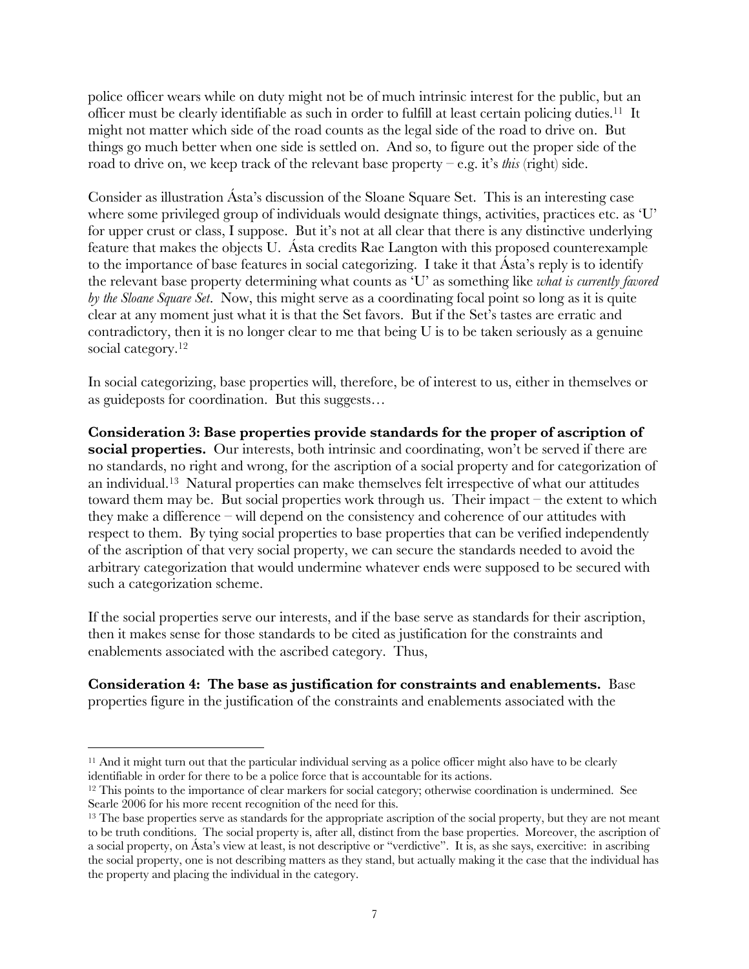police officer wears while on duty might not be of much intrinsic interest for the public, but an officer must be clearly identifiable as such in order to fulfill at least certain policing duties.11 It might not matter which side of the road counts as the legal side of the road to drive on. But things go much better when one side is settled on. And so, to figure out the proper side of the road to drive on, we keep track of the relevant base property – e.g. it's *this* (right) side.

Consider as illustration Ásta's discussion of the Sloane Square Set. This is an interesting case where some privileged group of individuals would designate things, activities, practices etc. as 'U' for upper crust or class, I suppose. But it's not at all clear that there is any distinctive underlying feature that makes the objects U. Ásta credits Rae Langton with this proposed counterexample to the importance of base features in social categorizing. I take it that Ásta's reply is to identify the relevant base property determining what counts as 'U' as something like *what is currently favored by the Sloane Square Set*. Now, this might serve as a coordinating focal point so long as it is quite clear at any moment just what it is that the Set favors. But if the Set's tastes are erratic and contradictory, then it is no longer clear to me that being U is to be taken seriously as a genuine social category.<sup>12</sup>

In social categorizing, base properties will, therefore, be of interest to us, either in themselves or as guideposts for coordination. But this suggests…

**Consideration 3: Base properties provide standards for the proper of ascription of social properties.** Our interests, both intrinsic and coordinating, won't be served if there are no standards, no right and wrong, for the ascription of a social property and for categorization of an individual.13 Natural properties can make themselves felt irrespective of what our attitudes toward them may be. But social properties work through us. Their impact – the extent to which they make a difference – will depend on the consistency and coherence of our attitudes with respect to them. By tying social properties to base properties that can be verified independently of the ascription of that very social property, we can secure the standards needed to avoid the arbitrary categorization that would undermine whatever ends were supposed to be secured with such a categorization scheme.

If the social properties serve our interests, and if the base serve as standards for their ascription, then it makes sense for those standards to be cited as justification for the constraints and enablements associated with the ascribed category. Thus,

**Consideration 4: The base as justification for constraints and enablements.** Base properties figure in the justification of the constraints and enablements associated with the

<sup>&</sup>lt;sup>11</sup> And it might turn out that the particular individual serving as a police officer might also have to be clearly identifiable in order for there to be a police force that is accountable for its actions.

<sup>&</sup>lt;sup>12</sup> This points to the importance of clear markers for social category; otherwise coordination is undermined. See Searle 2006 for his more recent recognition of the need for this.

<sup>&</sup>lt;sup>13</sup> The base properties serve as standards for the appropriate ascription of the social property, but they are not meant to be truth conditions. The social property is, after all, distinct from the base properties. Moreover, the ascription of a social property, on Ásta's view at least, is not descriptive or "verdictive". It is, as she says, exercitive: in ascribing the social property, one is not describing matters as they stand, but actually making it the case that the individual has the property and placing the individual in the category.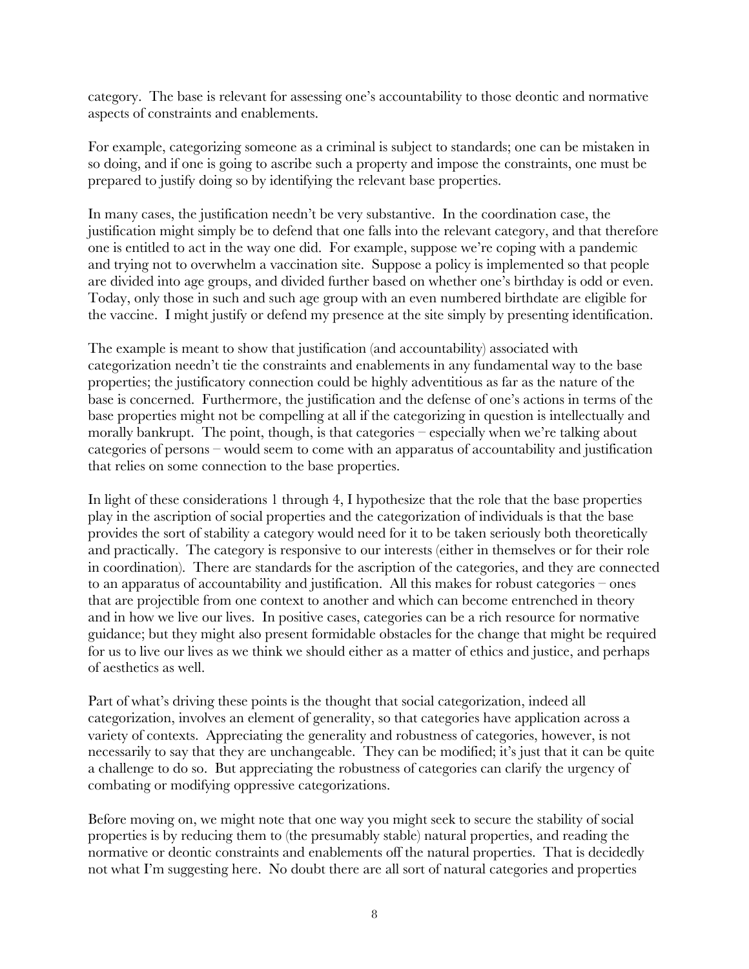category. The base is relevant for assessing one's accountability to those deontic and normative aspects of constraints and enablements.

For example, categorizing someone as a criminal is subject to standards; one can be mistaken in so doing, and if one is going to ascribe such a property and impose the constraints, one must be prepared to justify doing so by identifying the relevant base properties.

In many cases, the justification needn't be very substantive. In the coordination case, the justification might simply be to defend that one falls into the relevant category, and that therefore one is entitled to act in the way one did. For example, suppose we're coping with a pandemic and trying not to overwhelm a vaccination site. Suppose a policy is implemented so that people are divided into age groups, and divided further based on whether one's birthday is odd or even. Today, only those in such and such age group with an even numbered birthdate are eligible for the vaccine. I might justify or defend my presence at the site simply by presenting identification.

The example is meant to show that justification (and accountability) associated with categorization needn't tie the constraints and enablements in any fundamental way to the base properties; the justificatory connection could be highly adventitious as far as the nature of the base is concerned. Furthermore, the justification and the defense of one's actions in terms of the base properties might not be compelling at all if the categorizing in question is intellectually and morally bankrupt. The point, though, is that categories – especially when we're talking about categories of persons – would seem to come with an apparatus of accountability and justification that relies on some connection to the base properties.

In light of these considerations 1 through 4, I hypothesize that the role that the base properties play in the ascription of social properties and the categorization of individuals is that the base provides the sort of stability a category would need for it to be taken seriously both theoretically and practically. The category is responsive to our interests (either in themselves or for their role in coordination). There are standards for the ascription of the categories, and they are connected to an apparatus of accountability and justification. All this makes for robust categories – ones that are projectible from one context to another and which can become entrenched in theory and in how we live our lives. In positive cases, categories can be a rich resource for normative guidance; but they might also present formidable obstacles for the change that might be required for us to live our lives as we think we should either as a matter of ethics and justice, and perhaps of aesthetics as well.

Part of what's driving these points is the thought that social categorization, indeed all categorization, involves an element of generality, so that categories have application across a variety of contexts. Appreciating the generality and robustness of categories, however, is not necessarily to say that they are unchangeable. They can be modified; it's just that it can be quite a challenge to do so. But appreciating the robustness of categories can clarify the urgency of combating or modifying oppressive categorizations.

Before moving on, we might note that one way you might seek to secure the stability of social properties is by reducing them to (the presumably stable) natural properties, and reading the normative or deontic constraints and enablements off the natural properties. That is decidedly not what I'm suggesting here. No doubt there are all sort of natural categories and properties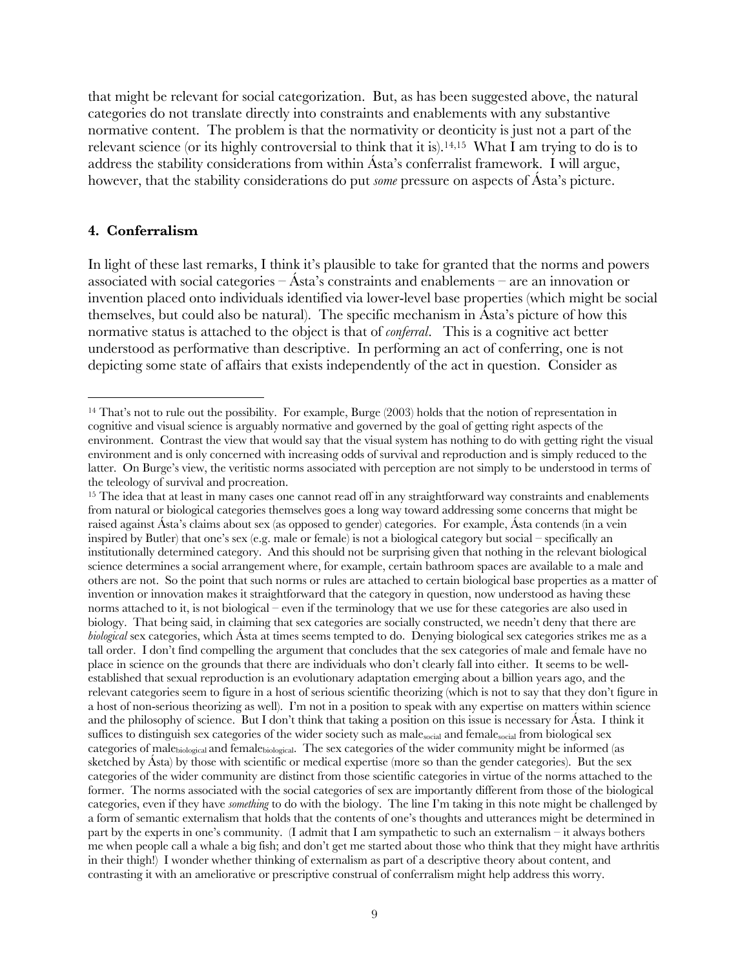that might be relevant for social categorization. But, as has been suggested above, the natural categories do not translate directly into constraints and enablements with any substantive normative content. The problem is that the normativity or deonticity is just not a part of the relevant science (or its highly controversial to think that it is).14,15 What I am trying to do is to address the stability considerations from within Ásta's conferralist framework. I will argue, however, that the stability considerations do put *some* pressure on aspects of Ásta's picture.

#### **4. Conferralism**

In light of these last remarks, I think it's plausible to take for granted that the norms and powers associated with social categories – Ásta's constraints and enablements – are an innovation or invention placed onto individuals identified via lower-level base properties (which might be social themselves, but could also be natural). The specific mechanism in Ásta's picture of how this normative status is attached to the object is that of *conferral*. This is a cognitive act better understood as performative than descriptive. In performing an act of conferring, one is not depicting some state of affairs that exists independently of the act in question. Consider as

<sup>&</sup>lt;sup>14</sup> That's not to rule out the possibility. For example, Burge (2003) holds that the notion of representation in cognitive and visual science is arguably normative and governed by the goal of getting right aspects of the environment. Contrast the view that would say that the visual system has nothing to do with getting right the visual environment and is only concerned with increasing odds of survival and reproduction and is simply reduced to the latter. On Burge's view, the veritistic norms associated with perception are not simply to be understood in terms of the teleology of survival and procreation.

<sup>&</sup>lt;sup>15</sup> The idea that at least in many cases one cannot read off in any straightforward way constraints and enablements from natural or biological categories themselves goes a long way toward addressing some concerns that might be raised against Ásta's claims about sex (as opposed to gender) categories. For example, Ásta contends (in a vein inspired by Butler) that one's sex (e.g. male or female) is not a biological category but social – specifically an institutionally determined category. And this should not be surprising given that nothing in the relevant biological science determines a social arrangement where, for example, certain bathroom spaces are available to a male and others are not. So the point that such norms or rules are attached to certain biological base properties as a matter of invention or innovation makes it straightforward that the category in question, now understood as having these norms attached to it, is not biological – even if the terminology that we use for these categories are also used in biology. That being said, in claiming that sex categories are socially constructed, we needn't deny that there are *biological* sex categories, which Ásta at times seems tempted to do. Denying biological sex categories strikes me as a tall order. I don't find compelling the argument that concludes that the sex categories of male and female have no place in science on the grounds that there are individuals who don't clearly fall into either. It seems to be wellestablished that sexual reproduction is an evolutionary adaptation emerging about a billion years ago, and the relevant categories seem to figure in a host of serious scientific theorizing (which is not to say that they don't figure in a host of non-serious theorizing as well). I'm not in a position to speak with any expertise on matters within science and the philosophy of science. But I don't think that taking a position on this issue is necessary for Ásta. I think it suffices to distinguish sex categories of the wider society such as male<sub>social</sub> and female<sub>social</sub> from biological sex categories of malebiological and femalebiological. The sex categories of the wider community might be informed (as sketched by Ásta) by those with scientific or medical expertise (more so than the gender categories). But the sex categories of the wider community are distinct from those scientific categories in virtue of the norms attached to the former. The norms associated with the social categories of sex are importantly different from those of the biological categories, even if they have *something* to do with the biology. The line I'm taking in this note might be challenged by a form of semantic externalism that holds that the contents of one's thoughts and utterances might be determined in part by the experts in one's community. (I admit that I am sympathetic to such an externalism – it always bothers me when people call a whale a big fish; and don't get me started about those who think that they might have arthritis in their thigh!) I wonder whether thinking of externalism as part of a descriptive theory about content, and contrasting it with an ameliorative or prescriptive construal of conferralism might help address this worry.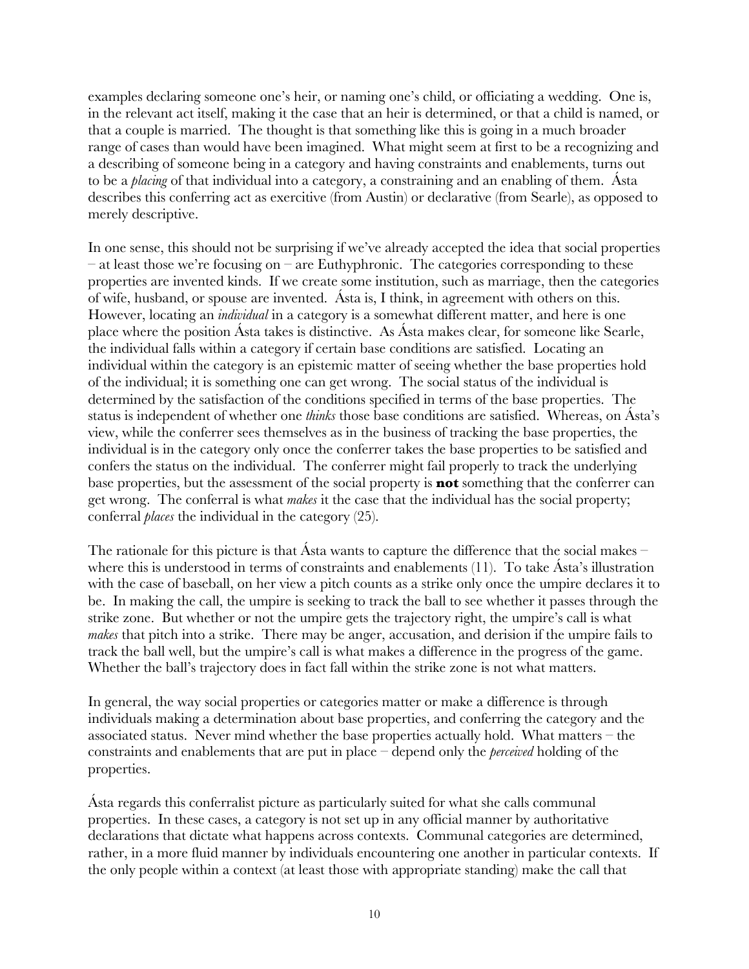examples declaring someone one's heir, or naming one's child, or officiating a wedding. One is, in the relevant act itself, making it the case that an heir is determined, or that a child is named, or that a couple is married. The thought is that something like this is going in a much broader range of cases than would have been imagined. What might seem at first to be a recognizing and a describing of someone being in a category and having constraints and enablements, turns out to be a *placing* of that individual into a category, a constraining and an enabling of them. Ásta describes this conferring act as exercitive (from Austin) or declarative (from Searle), as opposed to merely descriptive.

In one sense, this should not be surprising if we've already accepted the idea that social properties  $-$  at least those we're focusing on  $-$  are Euthyphronic. The categories corresponding to these properties are invented kinds. If we create some institution, such as marriage, then the categories of wife, husband, or spouse are invented. Ásta is, I think, in agreement with others on this. However, locating an *individual* in a category is a somewhat different matter, and here is one place where the position Ásta takes is distinctive. As Ásta makes clear, for someone like Searle, the individual falls within a category if certain base conditions are satisfied. Locating an individual within the category is an epistemic matter of seeing whether the base properties hold of the individual; it is something one can get wrong. The social status of the individual is determined by the satisfaction of the conditions specified in terms of the base properties. The status is independent of whether one *thinks* those base conditions are satisfied. Whereas, on Ásta's view, while the conferrer sees themselves as in the business of tracking the base properties, the individual is in the category only once the conferrer takes the base properties to be satisfied and confers the status on the individual. The conferrer might fail properly to track the underlying base properties, but the assessment of the social property is **not** something that the conferrer can get wrong. The conferral is what *makes* it the case that the individual has the social property; conferral *places* the individual in the category (25).

The rationale for this picture is that Ásta wants to capture the difference that the social makes – where this is understood in terms of constraints and enablements (11). To take Ásta's illustration with the case of baseball, on her view a pitch counts as a strike only once the umpire declares it to be. In making the call, the umpire is seeking to track the ball to see whether it passes through the strike zone. But whether or not the umpire gets the trajectory right, the umpire's call is what *makes* that pitch into a strike. There may be anger, accusation, and derision if the umpire fails to track the ball well, but the umpire's call is what makes a difference in the progress of the game. Whether the ball's trajectory does in fact fall within the strike zone is not what matters.

In general, the way social properties or categories matter or make a difference is through individuals making a determination about base properties, and conferring the category and the associated status. Never mind whether the base properties actually hold. What matters – the constraints and enablements that are put in place – depend only the *perceived* holding of the properties.

Ásta regards this conferralist picture as particularly suited for what she calls communal properties. In these cases, a category is not set up in any official manner by authoritative declarations that dictate what happens across contexts. Communal categories are determined, rather, in a more fluid manner by individuals encountering one another in particular contexts. If the only people within a context (at least those with appropriate standing) make the call that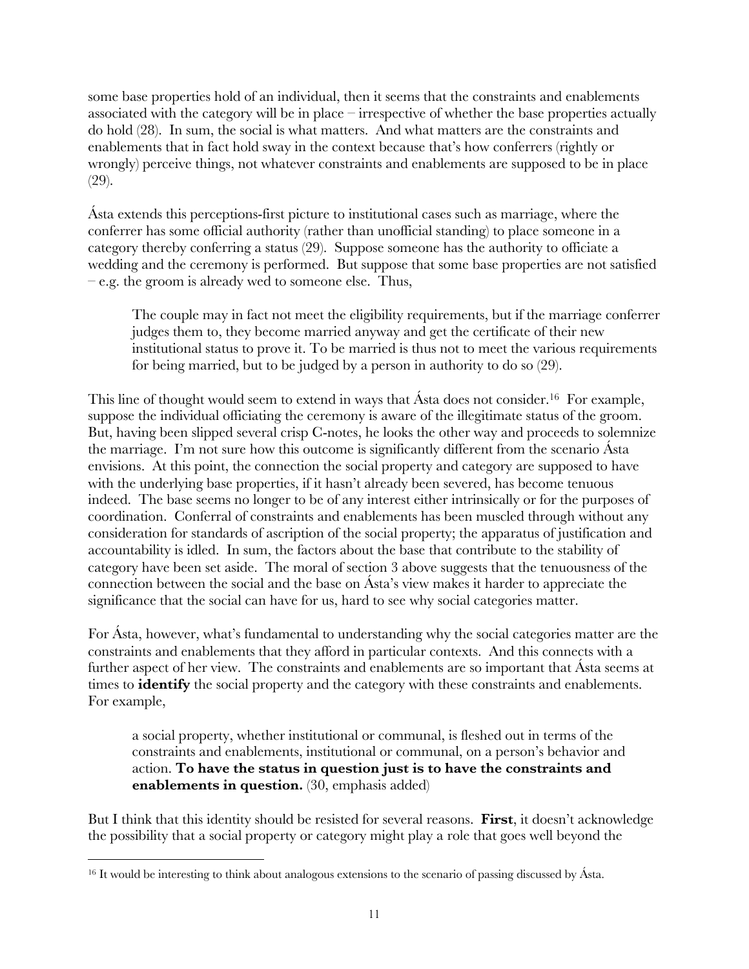some base properties hold of an individual, then it seems that the constraints and enablements associated with the category will be in place – irrespective of whether the base properties actually do hold (28). In sum, the social is what matters. And what matters are the constraints and enablements that in fact hold sway in the context because that's how conferrers (rightly or wrongly) perceive things, not whatever constraints and enablements are supposed to be in place (29).

Ásta extends this perceptions-first picture to institutional cases such as marriage, where the conferrer has some official authority (rather than unofficial standing) to place someone in a category thereby conferring a status (29). Suppose someone has the authority to officiate a wedding and the ceremony is performed. But suppose that some base properties are not satisfied – e.g. the groom is already wed to someone else. Thus,

The couple may in fact not meet the eligibility requirements, but if the marriage conferrer judges them to, they become married anyway and get the certificate of their new institutional status to prove it. To be married is thus not to meet the various requirements for being married, but to be judged by a person in authority to do so (29).

This line of thought would seem to extend in ways that Asta does not consider.<sup>16</sup> For example, suppose the individual officiating the ceremony is aware of the illegitimate status of the groom. But, having been slipped several crisp C-notes, he looks the other way and proceeds to solemnize the marriage. I'm not sure how this outcome is significantly different from the scenario Ásta envisions. At this point, the connection the social property and category are supposed to have with the underlying base properties, if it hasn't already been severed, has become tenuous indeed. The base seems no longer to be of any interest either intrinsically or for the purposes of coordination. Conferral of constraints and enablements has been muscled through without any consideration for standards of ascription of the social property; the apparatus of justification and accountability is idled. In sum, the factors about the base that contribute to the stability of category have been set aside. The moral of section 3 above suggests that the tenuousness of the connection between the social and the base on Ásta's view makes it harder to appreciate the significance that the social can have for us, hard to see why social categories matter.

For Ásta, however, what's fundamental to understanding why the social categories matter are the constraints and enablements that they afford in particular contexts. And this connects with a further aspect of her view. The constraints and enablements are so important that Asta seems at times to **identify** the social property and the category with these constraints and enablements. For example,

a social property, whether institutional or communal, is fleshed out in terms of the constraints and enablements, institutional or communal, on a person's behavior and action. **To have the status in question just is to have the constraints and enablements in question.** (30, emphasis added)

But I think that this identity should be resisted for several reasons. **First**, it doesn't acknowledge the possibility that a social property or category might play a role that goes well beyond the

<sup>&</sup>lt;sup>16</sup> It would be interesting to think about analogous extensions to the scenario of passing discussed by Ásta.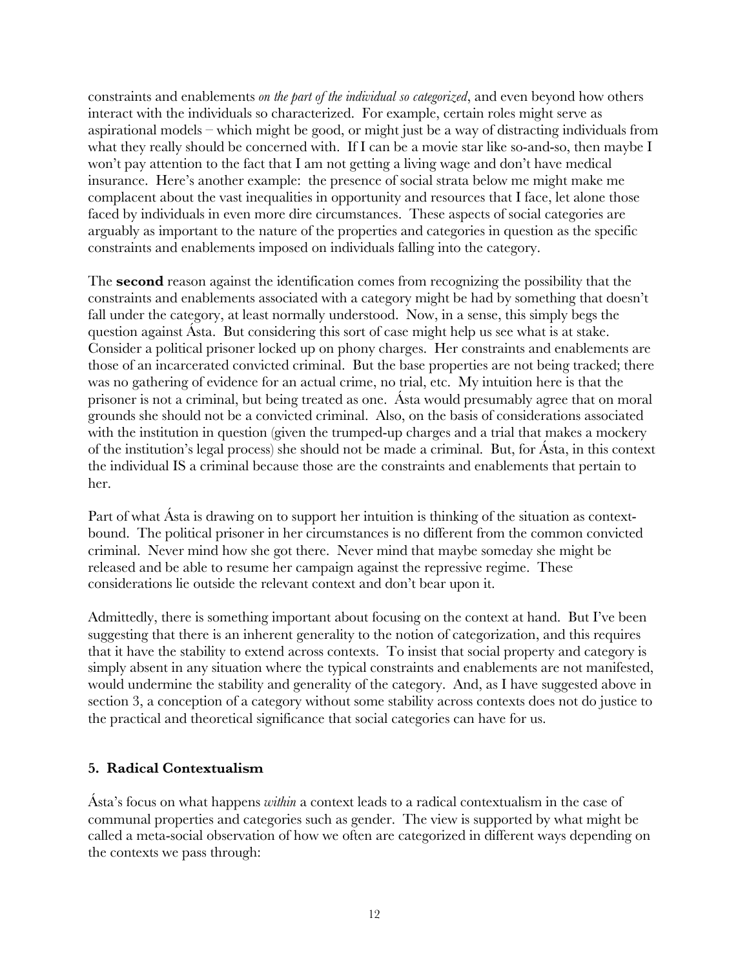constraints and enablements *on the part of the individual so categorized*, and even beyond how others interact with the individuals so characterized. For example, certain roles might serve as aspirational models – which might be good, or might just be a way of distracting individuals from what they really should be concerned with. If I can be a movie star like so-and-so, then maybe I won't pay attention to the fact that I am not getting a living wage and don't have medical insurance. Here's another example: the presence of social strata below me might make me complacent about the vast inequalities in opportunity and resources that I face, let alone those faced by individuals in even more dire circumstances. These aspects of social categories are arguably as important to the nature of the properties and categories in question as the specific constraints and enablements imposed on individuals falling into the category.

The **second** reason against the identification comes from recognizing the possibility that the constraints and enablements associated with a category might be had by something that doesn't fall under the category, at least normally understood. Now, in a sense, this simply begs the question against Ásta. But considering this sort of case might help us see what is at stake. Consider a political prisoner locked up on phony charges. Her constraints and enablements are those of an incarcerated convicted criminal. But the base properties are not being tracked; there was no gathering of evidence for an actual crime, no trial, etc. My intuition here is that the prisoner is not a criminal, but being treated as one. Ásta would presumably agree that on moral grounds she should not be a convicted criminal. Also, on the basis of considerations associated with the institution in question (given the trumped-up charges and a trial that makes a mockery of the institution's legal process) she should not be made a criminal. But, for Ásta, in this context the individual IS a criminal because those are the constraints and enablements that pertain to her.

Part of what Ásta is drawing on to support her intuition is thinking of the situation as contextbound. The political prisoner in her circumstances is no different from the common convicted criminal. Never mind how she got there. Never mind that maybe someday she might be released and be able to resume her campaign against the repressive regime. These considerations lie outside the relevant context and don't bear upon it.

Admittedly, there is something important about focusing on the context at hand. But I've been suggesting that there is an inherent generality to the notion of categorization, and this requires that it have the stability to extend across contexts. To insist that social property and category is simply absent in any situation where the typical constraints and enablements are not manifested, would undermine the stability and generality of the category. And, as I have suggested above in section 3, a conception of a category without some stability across contexts does not do justice to the practical and theoretical significance that social categories can have for us.

# **5. Radical Contextualism**

Ásta's focus on what happens *within* a context leads to a radical contextualism in the case of communal properties and categories such as gender. The view is supported by what might be called a meta-social observation of how we often are categorized in different ways depending on the contexts we pass through: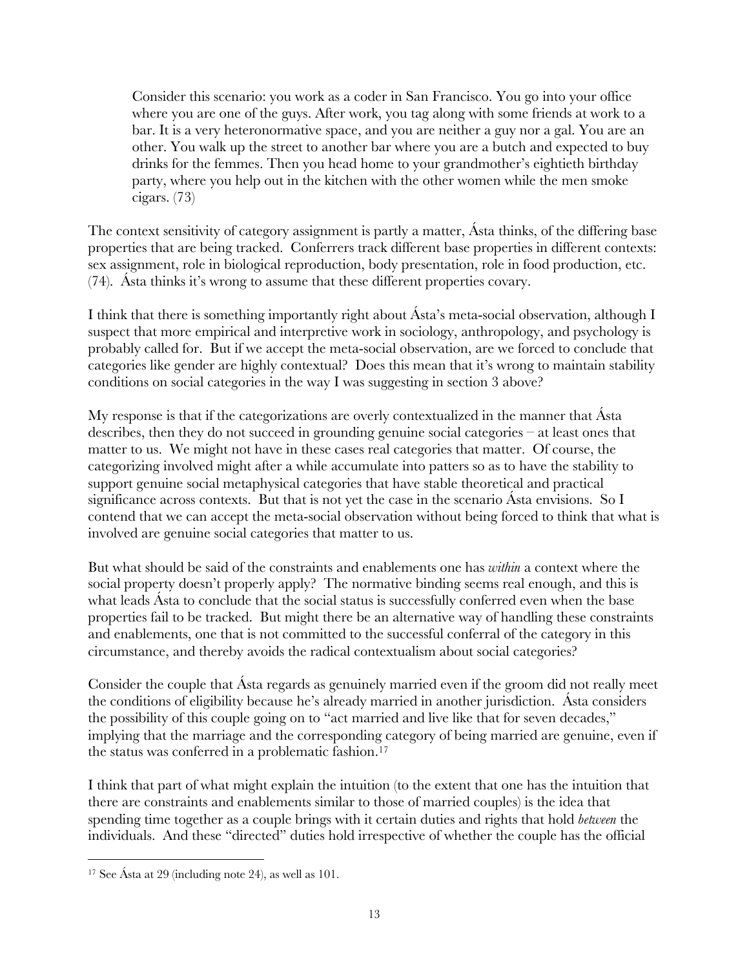Consider this scenario: you work as a coder in San Francisco. You go into your office where you are one of the guys. After work, you tag along with some friends at work to a bar. It is a very heteronormative space, and you are neither a guy nor a gal. You are an other. You walk up the street to another bar where you are a butch and expected to buy drinks for the femmes. Then you head home to your grandmother's eightieth birthday party, where you help out in the kitchen with the other women while the men smoke cigars. (73)

The context sensitivity of category assignment is partly a matter, Ásta thinks, of the differing base properties that are being tracked. Conferrers track different base properties in different contexts: sex assignment, role in biological reproduction, body presentation, role in food production, etc. (74). Ásta thinks it's wrong to assume that these different properties covary.

I think that there is something importantly right about Ásta's meta-social observation, although I suspect that more empirical and interpretive work in sociology, anthropology, and psychology is probably called for. But if we accept the meta-social observation, are we forced to conclude that categories like gender are highly contextual? Does this mean that it's wrong to maintain stability conditions on social categories in the way I was suggesting in section 3 above?

My response is that if the categorizations are overly contextualized in the manner that Ásta describes, then they do not succeed in grounding genuine social categories – at least ones that matter to us. We might not have in these cases real categories that matter. Of course, the categorizing involved might after a while accumulate into patters so as to have the stability to support genuine social metaphysical categories that have stable theoretical and practical significance across contexts. But that is not yet the case in the scenario Ásta envisions. So I contend that we can accept the meta-social observation without being forced to think that what is involved are genuine social categories that matter to us.

But what should be said of the constraints and enablements one has *within* a context where the social property doesn't properly apply? The normative binding seems real enough, and this is what leads Ásta to conclude that the social status is successfully conferred even when the base properties fail to be tracked. But might there be an alternative way of handling these constraints and enablements, one that is not committed to the successful conferral of the category in this circumstance, and thereby avoids the radical contextualism about social categories?

Consider the couple that Ásta regards as genuinely married even if the groom did not really meet the conditions of eligibility because he's already married in another jurisdiction. Ásta considers the possibility of this couple going on to "act married and live like that for seven decades," implying that the marriage and the corresponding category of being married are genuine, even if the status was conferred in a problematic fashion.17

I think that part of what might explain the intuition (to the extent that one has the intuition that there are constraints and enablements similar to those of married couples) is the idea that spending time together as a couple brings with it certain duties and rights that hold *between* the individuals. And these "directed" duties hold irrespective of whether the couple has the official

<sup>17</sup> See Ásta at 29 (including note 24), as well as 101.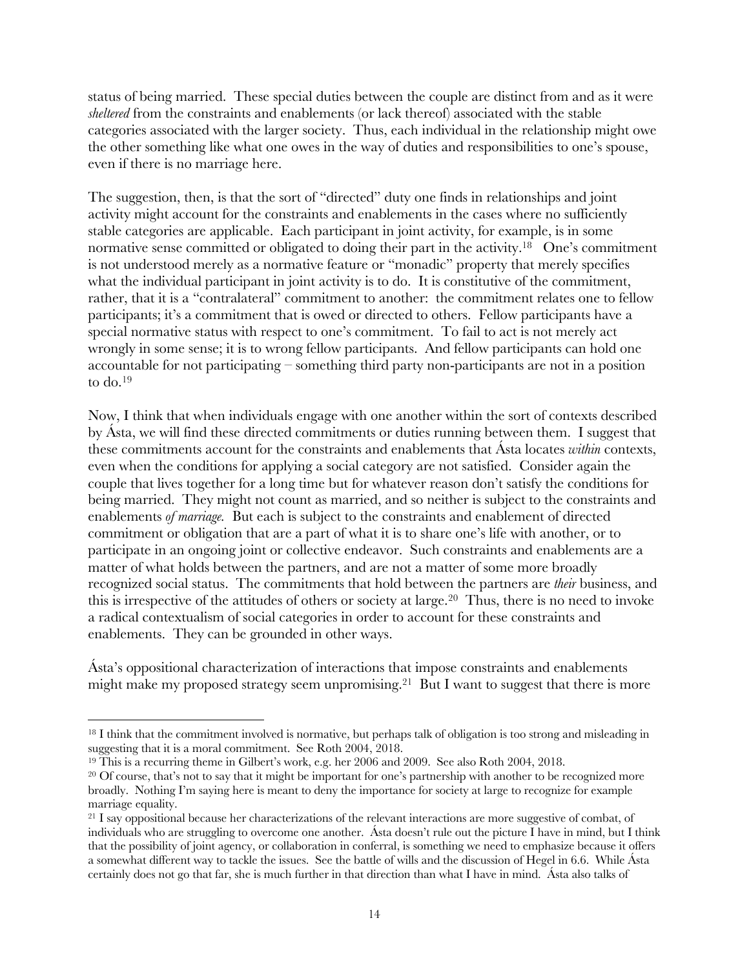status of being married. These special duties between the couple are distinct from and as it were *sheltered* from the constraints and enablements (or lack thereof) associated with the stable categories associated with the larger society. Thus, each individual in the relationship might owe the other something like what one owes in the way of duties and responsibilities to one's spouse, even if there is no marriage here.

The suggestion, then, is that the sort of "directed" duty one finds in relationships and joint activity might account for the constraints and enablements in the cases where no sufficiently stable categories are applicable. Each participant in joint activity, for example, is in some normative sense committed or obligated to doing their part in the activity.<sup>18</sup> One's commitment is not understood merely as a normative feature or "monadic" property that merely specifies what the individual participant in joint activity is to do. It is constitutive of the commitment, rather, that it is a "contralateral" commitment to another: the commitment relates one to fellow participants; it's a commitment that is owed or directed to others. Fellow participants have a special normative status with respect to one's commitment. To fail to act is not merely act wrongly in some sense; it is to wrong fellow participants. And fellow participants can hold one accountable for not participating – something third party non-participants are not in a position to do.19

Now, I think that when individuals engage with one another within the sort of contexts described by Ásta, we will find these directed commitments or duties running between them. I suggest that these commitments account for the constraints and enablements that Ásta locates *within* contexts, even when the conditions for applying a social category are not satisfied. Consider again the couple that lives together for a long time but for whatever reason don't satisfy the conditions for being married. They might not count as married, and so neither is subject to the constraints and enablements *of marriage.* But each is subject to the constraints and enablement of directed commitment or obligation that are a part of what it is to share one's life with another, or to participate in an ongoing joint or collective endeavor. Such constraints and enablements are a matter of what holds between the partners, and are not a matter of some more broadly recognized social status. The commitments that hold between the partners are *their* business, and this is irrespective of the attitudes of others or society at large.20 Thus, there is no need to invoke a radical contextualism of social categories in order to account for these constraints and enablements. They can be grounded in other ways.

Ásta's oppositional characterization of interactions that impose constraints and enablements might make my proposed strategy seem unpromising.<sup>21</sup> But I want to suggest that there is more

<sup>&</sup>lt;sup>18</sup> I think that the commitment involved is normative, but perhaps talk of obligation is too strong and misleading in suggesting that it is a moral commitment. See Roth 2004, 2018.

<sup>&</sup>lt;sup>19</sup> This is a recurring theme in Gilbert's work, e.g. her 2006 and 2009. See also Roth 2004, 2018.<br><sup>20</sup> Of course, that's not to say that it might be important for one's partnership with another to be recognized more broadly. Nothing I'm saying here is meant to deny the importance for society at large to recognize for example marriage equality.

<sup>21</sup> I say oppositional because her characterizations of the relevant interactions are more suggestive of combat, of individuals who are struggling to overcome one another. Ásta doesn't rule out the picture I have in mind, but I think that the possibility of joint agency, or collaboration in conferral, is something we need to emphasize because it offers a somewhat different way to tackle the issues. See the battle of wills and the discussion of Hegel in 6.6. While Ásta certainly does not go that far, she is much further in that direction than what I have in mind. Ásta also talks of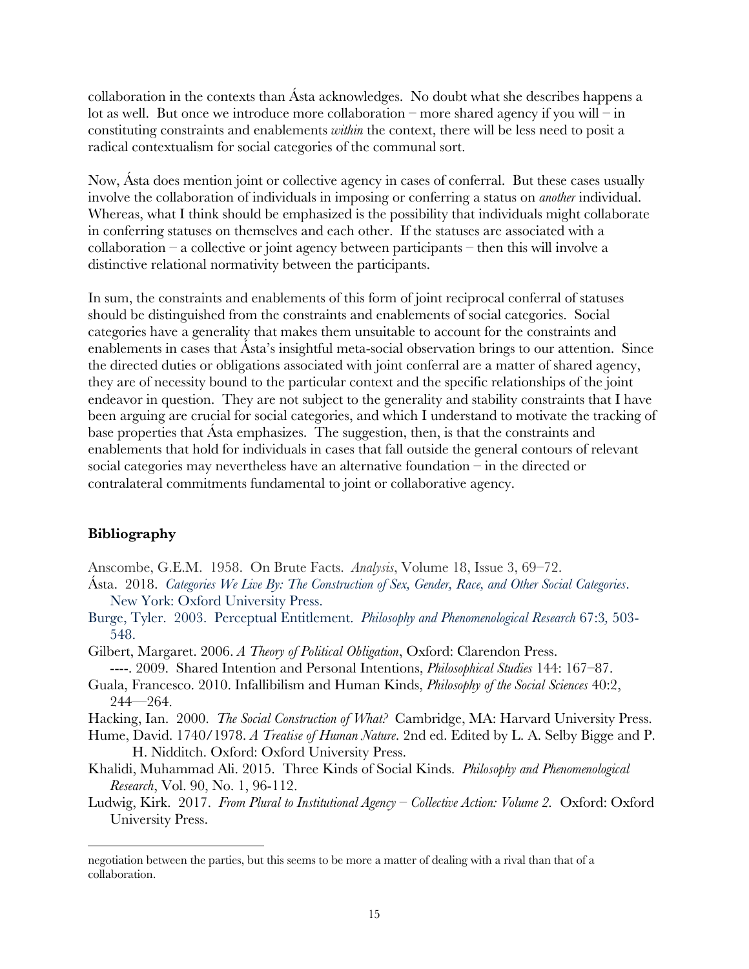collaboration in the contexts than Ásta acknowledges. No doubt what she describes happens a lot as well. But once we introduce more collaboration – more shared agency if you will – in constituting constraints and enablements *within* the context, there will be less need to posit a radical contextualism for social categories of the communal sort.

Now, Ásta does mention joint or collective agency in cases of conferral. But these cases usually involve the collaboration of individuals in imposing or conferring a status on *another* individual. Whereas, what I think should be emphasized is the possibility that individuals might collaborate in conferring statuses on themselves and each other. If the statuses are associated with a  $collaboration - a collective or joint agency between participants - then this will involve a$ distinctive relational normativity between the participants.

In sum, the constraints and enablements of this form of joint reciprocal conferral of statuses should be distinguished from the constraints and enablements of social categories. Social categories have a generality that makes them unsuitable to account for the constraints and enablements in cases that Ásta's insightful meta-social observation brings to our attention. Since the directed duties or obligations associated with joint conferral are a matter of shared agency, they are of necessity bound to the particular context and the specific relationships of the joint endeavor in question. They are not subject to the generality and stability constraints that I have been arguing are crucial for social categories, and which I understand to motivate the tracking of base properties that Ásta emphasizes. The suggestion, then, is that the constraints and enablements that hold for individuals in cases that fall outside the general contours of relevant social categories may nevertheless have an alternative foundation – in the directed or contralateral commitments fundamental to joint or collaborative agency.

#### **Bibliography**

- Anscombe, G.E.M. 1958. On Brute Facts. *Analysis*, Volume 18, Issue 3, 69–72.
- Ásta. 2018. *Categories We Live By: The Construction of Sex, Gender, Race, and Other Social Categories*. New York: Oxford University Press.
- Burge, Tyler. 2003. Perceptual Entitlement. *Philosophy and Phenomenological Research* 67:3*,* 503- 548.
- Gilbert, Margaret. 2006. *A Theory of Political Obligation*, Oxford: Clarendon Press. ----. 2009. Shared Intention and Personal Intentions, *Philosophical Studies* 144: 167–87.
- Guala, Francesco. 2010. Infallibilism and Human Kinds, *Philosophy of the Social Sciences* 40:2,  $244 - 264.$
- Hacking, Ian. 2000. *The Social Construction of What?* Cambridge, MA: Harvard University Press.
- Hume, David. 1740/1978. *A Treatise of Human Nature*. 2nd ed. Edited by L. A. Selby Bigge and P. H. Nidditch. Oxford: Oxford University Press.
- Khalidi, Muhammad Ali. 2015. Three Kinds of Social Kinds. *Philosophy and Phenomenological Research*, Vol. 90, No. 1, 96-112.
- Ludwig, Kirk. 2017. *From Plural to Institutional Agency – Collective Action: Volume 2.* Oxford: Oxford University Press.

negotiation between the parties, but this seems to be more a matter of dealing with a rival than that of a collaboration.